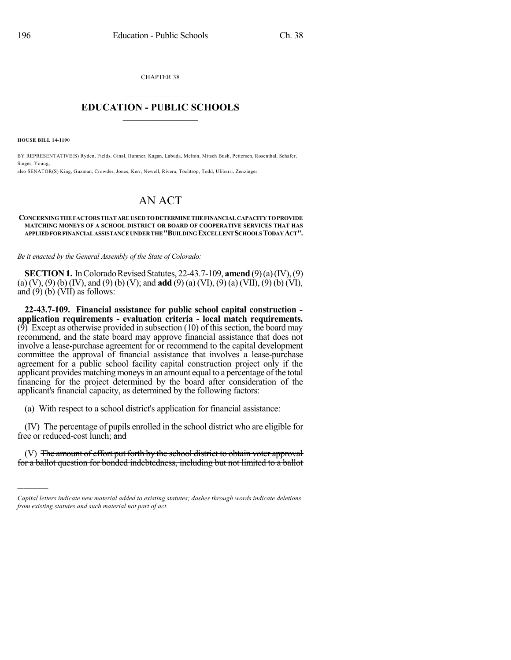CHAPTER 38  $\mathcal{L}_\text{max}$  . The set of the set of the set of the set of the set of the set of the set of the set of the set of the set of the set of the set of the set of the set of the set of the set of the set of the set of the set

## **EDUCATION - PUBLIC SCHOOLS**  $\_$   $\_$   $\_$   $\_$   $\_$   $\_$   $\_$   $\_$   $\_$

**HOUSE BILL 14-1190**

)))))

BY REPRESENTATIVE(S) Ryden, Fields, Ginal, Hamner, Kagan, Labuda, Melton, Mitsch Bush, Pettersen, Rosenthal, Schafer, Singer, Young; also SENATOR(S) King, Guzman, Crowder, Jones, Kerr, Newell, Rivera, Tochtrop, Todd, Ulibarri, Zenzinger.

## AN ACT

## **CONCERNINGTHEFACTORSTHATAREUSEDTODETERMINETHEFINANCIALCAPACITYTOPROVIDE MATCHING MONEYS OF A SCHOOL DISTRICT OR BOARD OF COOPERATIVE SERVICES THAT HAS APPLIEDFORFINANCIALASSISTANCEUNDERTHE"BUILDINGEXCELLENTSCHOOLSTODAYACT".**

*Be it enacted by the General Assembly of the State of Colorado:*

**SECTION 1.** In Colorado Revised Statutes, 22-43.7-109, **amend** (9)(a)(IV), (9) (a) (V), (9) (b) (IV), and (9) (b) (V); and **add** (9) (a) (VI), (9) (a) (VII), (9) (b) (VI), and  $(9)$  (b) (VII) as follows:

**22-43.7-109. Financial assistance for public school capital construction application requirements - evaluation criteria - local match requirements.** (9) Except as otherwise provided in subsection  $(10)$  of this section, the board may recommend, and the state board may approve financial assistance that does not involve a lease-purchase agreement for or recommend to the capital development committee the approval of financial assistance that involves a lease-purchase agreement for a public school facility capital construction project only if the applicant provides matching moneys in an amount equal to a percentage of the total financing for the project determined by the board after consideration of the applicant's financial capacity, as determined by the following factors:

(a) With respect to a school district's application for financial assistance:

(IV) The percentage of pupils enrolled in the school district who are eligible for free or reduced-cost lunch; and

(V) The amount of effort put forth by the school district to obtain voter approval for a ballot question for bonded indebtedness, including but not limited to a ballot

*Capital letters indicate new material added to existing statutes; dashes through words indicate deletions from existing statutes and such material not part of act.*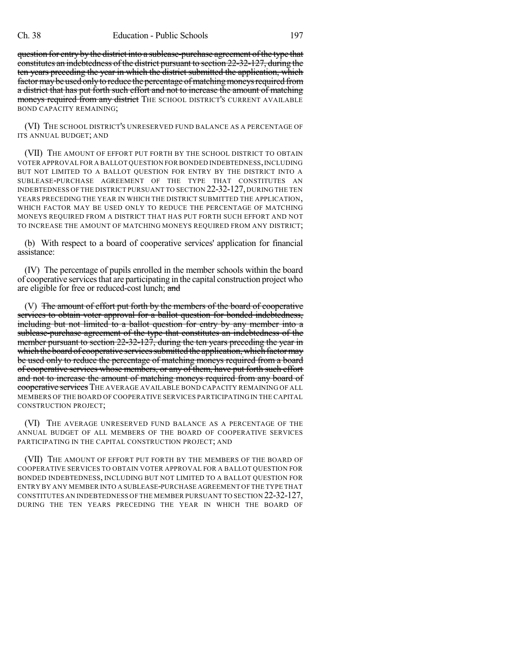question for entry by the district into a sublease-purchase agreement of the type that constitutes an indebtedness of the district pursuant to section 22-32-127, during the ten years preceding the year in which the district submitted the application, which factor may be used only to reduce the percentage of matching moneys required from a district that has put forth such effort and not to increase the amount of matching moneys required from any district THE SCHOOL DISTRICT'S CURRENT AVAILABLE BOND CAPACITY REMAINING;

(VI) THE SCHOOL DISTRICT'S UNRESERVED FUND BALANCE AS A PERCENTAGE OF ITS ANNUAL BUDGET; AND

(VII) THE AMOUNT OF EFFORT PUT FORTH BY THE SCHOOL DISTRICT TO OBTAIN VOTER APPROVAL FOR A BALLOT QUESTION FOR BONDED INDEBTEDNESS,INCLUDING BUT NOT LIMITED TO A BALLOT QUESTION FOR ENTRY BY THE DISTRICT INTO A SUBLEASE-PURCHASE AGREEMENT OF THE TYPE THAT CONSTITUTES AN INDEBTEDNESS OF THE DISTRICT PURSUANT TO SECTION 22-32-127, DURING THE TEN YEARS PRECEDING THE YEAR IN WHICH THE DISTRICT SUBMITTED THE APPLICATION, WHICH FACTOR MAY BE USED ONLY TO REDUCE THE PERCENTAGE OF MATCHING MONEYS REQUIRED FROM A DISTRICT THAT HAS PUT FORTH SUCH EFFORT AND NOT TO INCREASE THE AMOUNT OF MATCHING MONEYS REQUIRED FROM ANY DISTRICT;

(b) With respect to a board of cooperative services' application for financial assistance:

(IV) The percentage of pupils enrolled in the member schools within the board of cooperative services that are participating in the capital construction project who are eligible for free or reduced-cost lunch; and

(V) The amount of effort put forth by the members of the board of cooperative services to obtain voter approval for a ballot question for bonded indebtedness, including but not limited to a ballot question for entry by any member into a sublease-purchase agreement of the type that constitutes an indebtedness of the member pursuant to section 22-32-127, during the ten years preceding the year in which the board of cooperative services submitted the application, which factor may be used only to reduce the percentage of matching moneys required from a board of cooperative services whose members, or any of them, have put forth such effort and not to increase the amount of matching moneys required from any board of cooperative services THE AVERAGE AVAILABLE BOND CAPACITY REMAINING OF ALL MEMBERS OF THE BOARD OF COOPERATIVE SERVICES PARTICIPATING IN THE CAPITAL CONSTRUCTION PROJECT;

(VI) THE AVERAGE UNRESERVED FUND BALANCE AS A PERCENTAGE OF THE ANNUAL BUDGET OF ALL MEMBERS OF THE BOARD OF COOPERATIVE SERVICES PARTICIPATING IN THE CAPITAL CONSTRUCTION PROJECT; AND

(VII) THE AMOUNT OF EFFORT PUT FORTH BY THE MEMBERS OF THE BOARD OF COOPERATIVE SERVICES TO OBTAIN VOTER APPROVAL FOR A BALLOT QUESTION FOR BONDED INDEBTEDNESS, INCLUDING BUT NOT LIMITED TO A BALLOT QUESTION FOR ENTRY BY ANY MEMBER INTO A SUBLEASE-PURCHASE AGREEMENT OF THE TYPE THAT CONSTITUTES AN INDEBTEDNESS OF THE MEMBER PURSUANT TO SECTION 22-32-127, DURING THE TEN YEARS PRECEDING THE YEAR IN WHICH THE BOARD OF